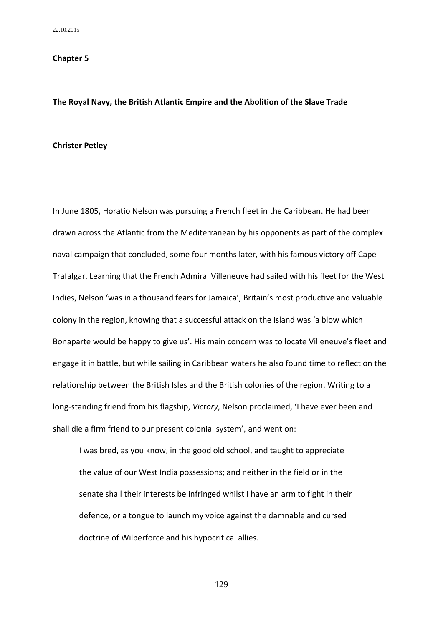#### **Chapter 5**

### **The Royal Navy, the British Atlantic Empire and the Abolition of the Slave Trade**

### **Christer Petley**

In June 1805, Horatio Nelson was pursuing a French fleet in the Caribbean. He had been drawn across the Atlantic from the Mediterranean by his opponents as part of the complex naval campaign that concluded, some four months later, with his famous victory off Cape Trafalgar. Learning that the French Admiral Villeneuve had sailed with his fleet for the West Indies, Nelson 'was in a thousand fears for Jamaica', Britain's most productive and valuable colony in the region, knowing that a successful attack on the island was 'a blow which Bonaparte would be happy to give us'. His main concern was to locate Villeneuve's fleet and engage it in battle, but while sailing in Caribbean waters he also found time to reflect on the relationship between the British Isles and the British colonies of the region. Writing to a long-standing friend from his flagship, *Victory*, Nelson proclaimed, 'I have ever been and shall die a firm friend to our present colonial system', and went on:

I was bred, as you know, in the good old school, and taught to appreciate the value of our West India possessions; and neither in the field or in the senate shall their interests be infringed whilst I have an arm to fight in their defence, or a tongue to launch my voice against the damnable and cursed doctrine of Wilberforce and his hypocritical allies.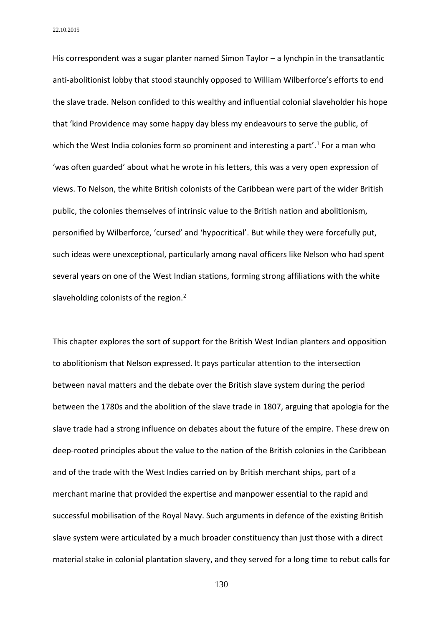His correspondent was a sugar planter named Simon Taylor – a lynchpin in the transatlantic anti-abolitionist lobby that stood staunchly opposed to William Wilberforce's efforts to end the slave trade. Nelson confided to this wealthy and influential colonial slaveholder his hope that 'kind Providence may some happy day bless my endeavours to serve the public, of which the West India colonies form so prominent and interesting a part'.<sup>1</sup> For a man who 'was often guarded' about what he wrote in his letters, this was a very open expression of views. To Nelson, the white British colonists of the Caribbean were part of the wider British public, the colonies themselves of intrinsic value to the British nation and abolitionism, personified by Wilberforce, 'cursed' and 'hypocritical'. But while they were forcefully put, such ideas were unexceptional, particularly among naval officers like Nelson who had spent several years on one of the West Indian stations, forming strong affiliations with the white slaveholding colonists of the region.<sup>2</sup>

This chapter explores the sort of support for the British West Indian planters and opposition to abolitionism that Nelson expressed. It pays particular attention to the intersection between naval matters and the debate over the British slave system during the period between the 1780s and the abolition of the slave trade in 1807, arguing that apologia for the slave trade had a strong influence on debates about the future of the empire. These drew on deep-rooted principles about the value to the nation of the British colonies in the Caribbean and of the trade with the West Indies carried on by British merchant ships, part of a merchant marine that provided the expertise and manpower essential to the rapid and successful mobilisation of the Royal Navy. Such arguments in defence of the existing British slave system were articulated by a much broader constituency than just those with a direct material stake in colonial plantation slavery, and they served for a long time to rebut calls for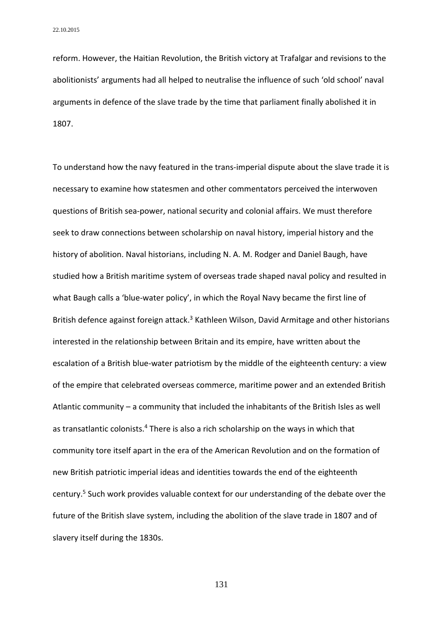reform. However, the Haitian Revolution, the British victory at Trafalgar and revisions to the abolitionists' arguments had all helped to neutralise the influence of such 'old school' naval arguments in defence of the slave trade by the time that parliament finally abolished it in 1807.

To understand how the navy featured in the trans-imperial dispute about the slave trade it is necessary to examine how statesmen and other commentators perceived the interwoven questions of British sea-power, national security and colonial affairs. We must therefore seek to draw connections between scholarship on naval history, imperial history and the history of abolition. Naval historians, including N. A. M. Rodger and Daniel Baugh, have studied how a British maritime system of overseas trade shaped naval policy and resulted in what Baugh calls a 'blue-water policy', in which the Royal Navy became the first line of British defence against foreign attack.<sup>3</sup> Kathleen Wilson, David Armitage and other historians interested in the relationship between Britain and its empire, have written about the escalation of a British blue-water patriotism by the middle of the eighteenth century: a view of the empire that celebrated overseas commerce, maritime power and an extended British Atlantic community – a community that included the inhabitants of the British Isles as well as transatlantic colonists.<sup>4</sup> There is also a rich scholarship on the ways in which that community tore itself apart in the era of the American Revolution and on the formation of new British patriotic imperial ideas and identities towards the end of the eighteenth century. <sup>5</sup> Such work provides valuable context for our understanding of the debate over the future of the British slave system, including the abolition of the slave trade in 1807 and of slavery itself during the 1830s.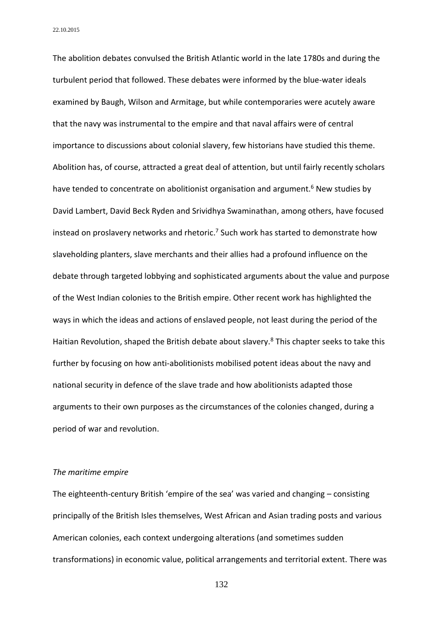The abolition debates convulsed the British Atlantic world in the late 1780s and during the turbulent period that followed. These debates were informed by the blue-water ideals examined by Baugh, Wilson and Armitage, but while contemporaries were acutely aware that the navy was instrumental to the empire and that naval affairs were of central importance to discussions about colonial slavery, few historians have studied this theme. Abolition has, of course, attracted a great deal of attention, but until fairly recently scholars have tended to concentrate on abolitionist organisation and argument.<sup>6</sup> New studies by David Lambert, David Beck Ryden and Srividhya Swaminathan, among others, have focused instead on proslavery networks and rhetoric.<sup>7</sup> Such work has started to demonstrate how slaveholding planters, slave merchants and their allies had a profound influence on the debate through targeted lobbying and sophisticated arguments about the value and purpose of the West Indian colonies to the British empire. Other recent work has highlighted the ways in which the ideas and actions of enslaved people, not least during the period of the Haitian Revolution, shaped the British debate about slavery.<sup>8</sup> This chapter seeks to take this further by focusing on how anti-abolitionists mobilised potent ideas about the navy and national security in defence of the slave trade and how abolitionists adapted those arguments to their own purposes as the circumstances of the colonies changed, during a period of war and revolution.

## *The maritime empire*

The eighteenth-century British 'empire of the sea' was varied and changing – consisting principally of the British Isles themselves, West African and Asian trading posts and various American colonies, each context undergoing alterations (and sometimes sudden transformations) in economic value, political arrangements and territorial extent. There was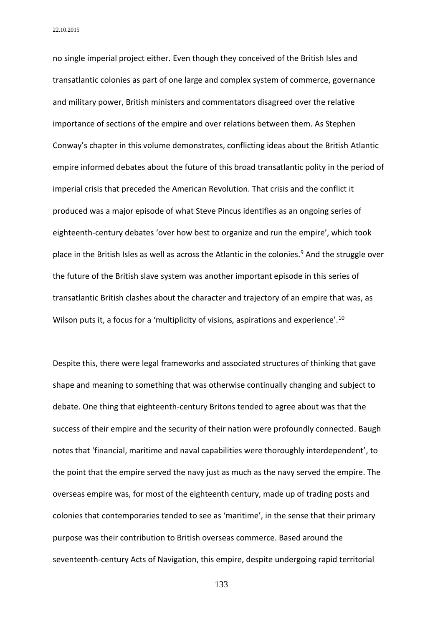no single imperial project either. Even though they conceived of the British Isles and transatlantic colonies as part of one large and complex system of commerce, governance and military power, British ministers and commentators disagreed over the relative importance of sections of the empire and over relations between them. As Stephen Conway's chapter in this volume demonstrates, conflicting ideas about the British Atlantic empire informed debates about the future of this broad transatlantic polity in the period of imperial crisis that preceded the American Revolution. That crisis and the conflict it produced was a major episode of what Steve Pincus identifies as an ongoing series of eighteenth-century debates 'over how best to organize and run the empire', which took place in the British Isles as well as across the Atlantic in the colonies.<sup>9</sup> And the struggle over the future of the British slave system was another important episode in this series of transatlantic British clashes about the character and trajectory of an empire that was, as Wilson puts it, a focus for a 'multiplicity of visions, aspirations and experience'.<sup>10</sup>

Despite this, there were legal frameworks and associated structures of thinking that gave shape and meaning to something that was otherwise continually changing and subject to debate. One thing that eighteenth-century Britons tended to agree about was that the success of their empire and the security of their nation were profoundly connected. Baugh notes that 'financial, maritime and naval capabilities were thoroughly interdependent', to the point that the empire served the navy just as much as the navy served the empire. The overseas empire was, for most of the eighteenth century, made up of trading posts and colonies that contemporaries tended to see as 'maritime', in the sense that their primary purpose was their contribution to British overseas commerce. Based around the seventeenth-century Acts of Navigation, this empire, despite undergoing rapid territorial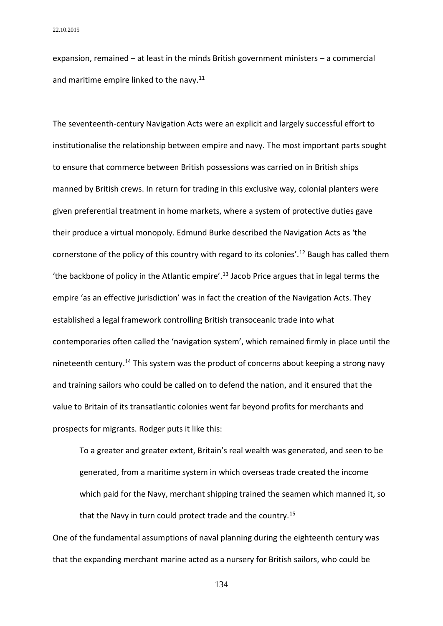expansion, remained – at least in the minds British government ministers – a commercial and maritime empire linked to the navy.<sup>11</sup>

The seventeenth-century Navigation Acts were an explicit and largely successful effort to institutionalise the relationship between empire and navy. The most important parts sought to ensure that commerce between British possessions was carried on in British ships manned by British crews. In return for trading in this exclusive way, colonial planters were given preferential treatment in home markets, where a system of protective duties gave their produce a virtual monopoly. Edmund Burke described the Navigation Acts as 'the cornerstone of the policy of this country with regard to its colonies'.<sup>12</sup> Baugh has called them 'the backbone of policy in the Atlantic empire'.<sup>13</sup> Jacob Price argues that in legal terms the empire 'as an effective jurisdiction' was in fact the creation of the Navigation Acts. They established a legal framework controlling British transoceanic trade into what contemporaries often called the 'navigation system', which remained firmly in place until the nineteenth century.<sup>14</sup> This system was the product of concerns about keeping a strong navy and training sailors who could be called on to defend the nation, and it ensured that the value to Britain of its transatlantic colonies went far beyond profits for merchants and prospects for migrants. Rodger puts it like this:

To a greater and greater extent, Britain's real wealth was generated, and seen to be generated, from a maritime system in which overseas trade created the income which paid for the Navy, merchant shipping trained the seamen which manned it, so that the Navy in turn could protect trade and the country.<sup>15</sup>

One of the fundamental assumptions of naval planning during the eighteenth century was that the expanding merchant marine acted as a nursery for British sailors, who could be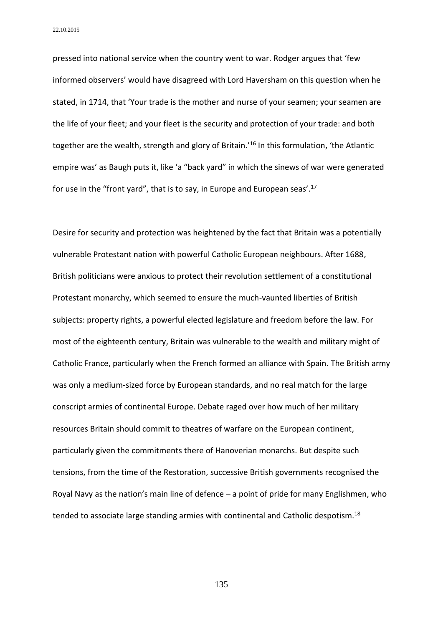pressed into national service when the country went to war. Rodger argues that 'few informed observers' would have disagreed with Lord Haversham on this question when he stated, in 1714, that 'Your trade is the mother and nurse of your seamen; your seamen are the life of your fleet; and your fleet is the security and protection of your trade: and both together are the wealth, strength and glory of Britain.<sup>'16</sup> In this formulation, 'the Atlantic empire was' as Baugh puts it, like 'a "back yard" in which the sinews of war were generated for use in the "front yard", that is to say, in Europe and European seas'.<sup>17</sup>

Desire for security and protection was heightened by the fact that Britain was a potentially vulnerable Protestant nation with powerful Catholic European neighbours. After 1688, British politicians were anxious to protect their revolution settlement of a constitutional Protestant monarchy, which seemed to ensure the much-vaunted liberties of British subjects: property rights, a powerful elected legislature and freedom before the law. For most of the eighteenth century, Britain was vulnerable to the wealth and military might of Catholic France, particularly when the French formed an alliance with Spain. The British army was only a medium-sized force by European standards, and no real match for the large conscript armies of continental Europe. Debate raged over how much of her military resources Britain should commit to theatres of warfare on the European continent, particularly given the commitments there of Hanoverian monarchs. But despite such tensions, from the time of the Restoration, successive British governments recognised the Royal Navy as the nation's main line of defence – a point of pride for many Englishmen, who tended to associate large standing armies with continental and Catholic despotism.18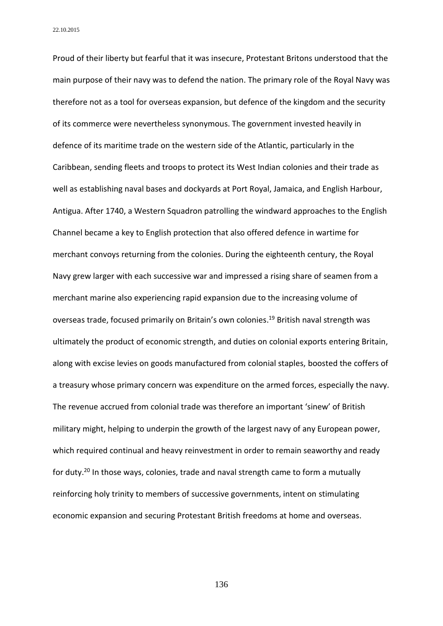Proud of their liberty but fearful that it was insecure, Protestant Britons understood that the main purpose of their navy was to defend the nation. The primary role of the Royal Navy was therefore not as a tool for overseas expansion, but defence of the kingdom and the security of its commerce were nevertheless synonymous. The government invested heavily in defence of its maritime trade on the western side of the Atlantic, particularly in the Caribbean, sending fleets and troops to protect its West Indian colonies and their trade as well as establishing naval bases and dockyards at Port Royal, Jamaica, and English Harbour, Antigua. After 1740, a Western Squadron patrolling the windward approaches to the English Channel became a key to English protection that also offered defence in wartime for merchant convoys returning from the colonies. During the eighteenth century, the Royal Navy grew larger with each successive war and impressed a rising share of seamen from a merchant marine also experiencing rapid expansion due to the increasing volume of overseas trade, focused primarily on Britain's own colonies. <sup>19</sup> British naval strength was ultimately the product of economic strength, and duties on colonial exports entering Britain, along with excise levies on goods manufactured from colonial staples, boosted the coffers of a treasury whose primary concern was expenditure on the armed forces, especially the navy. The revenue accrued from colonial trade was therefore an important 'sinew' of British military might, helping to underpin the growth of the largest navy of any European power, which required continual and heavy reinvestment in order to remain seaworthy and ready for duty.<sup>20</sup> In those ways, colonies, trade and naval strength came to form a mutually reinforcing holy trinity to members of successive governments, intent on stimulating economic expansion and securing Protestant British freedoms at home and overseas.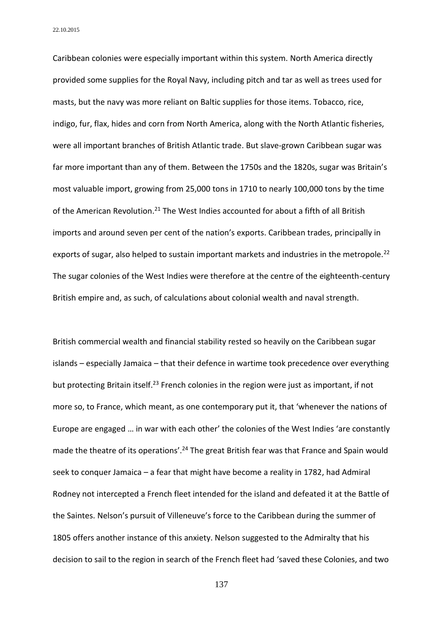Caribbean colonies were especially important within this system. North America directly provided some supplies for the Royal Navy, including pitch and tar as well as trees used for masts, but the navy was more reliant on Baltic supplies for those items. Tobacco, rice, indigo, fur, flax, hides and corn from North America, along with the North Atlantic fisheries, were all important branches of British Atlantic trade. But slave-grown Caribbean sugar was far more important than any of them. Between the 1750s and the 1820s, sugar was Britain's most valuable import, growing from 25,000 tons in 1710 to nearly 100,000 tons by the time of the American Revolution.<sup>21</sup> The West Indies accounted for about a fifth of all British imports and around seven per cent of the nation's exports. Caribbean trades, principally in exports of sugar, also helped to sustain important markets and industries in the metropole.<sup>22</sup> The sugar colonies of the West Indies were therefore at the centre of the eighteenth-century British empire and, as such, of calculations about colonial wealth and naval strength.

British commercial wealth and financial stability rested so heavily on the Caribbean sugar islands – especially Jamaica – that their defence in wartime took precedence over everything but protecting Britain itself.<sup>23</sup> French colonies in the region were just as important, if not more so, to France, which meant, as one contemporary put it, that 'whenever the nations of Europe are engaged … in war with each other' the colonies of the West Indies 'are constantly made the theatre of its operations'.<sup>24</sup> The great British fear was that France and Spain would seek to conquer Jamaica – a fear that might have become a reality in 1782, had Admiral Rodney not intercepted a French fleet intended for the island and defeated it at the Battle of the Saintes. Nelson's pursuit of Villeneuve's force to the Caribbean during the summer of 1805 offers another instance of this anxiety. Nelson suggested to the Admiralty that his decision to sail to the region in search of the French fleet had 'saved these Colonies, and two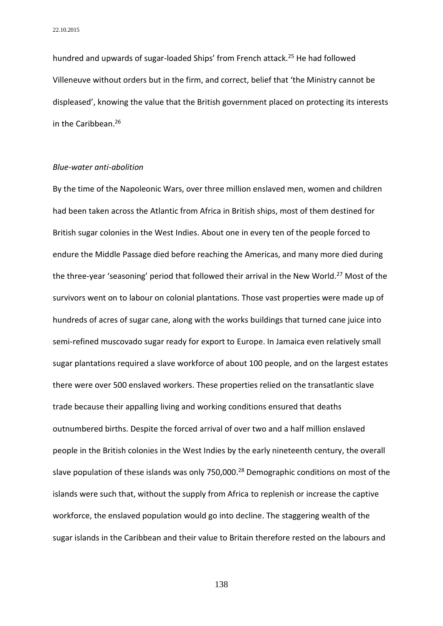hundred and upwards of sugar-loaded Ships' from French attack.<sup>25</sup> He had followed Villeneuve without orders but in the firm, and correct, belief that 'the Ministry cannot be displeased', knowing the value that the British government placed on protecting its interests in the Caribbean. 26

## *Blue-water anti-abolition*

By the time of the Napoleonic Wars, over three million enslaved men, women and children had been taken across the Atlantic from Africa in British ships, most of them destined for British sugar colonies in the West Indies. About one in every ten of the people forced to endure the Middle Passage died before reaching the Americas, and many more died during the three-year 'seasoning' period that followed their arrival in the New World.<sup>27</sup> Most of the survivors went on to labour on colonial plantations. Those vast properties were made up of hundreds of acres of sugar cane, along with the works buildings that turned cane juice into semi-refined muscovado sugar ready for export to Europe. In Jamaica even relatively small sugar plantations required a slave workforce of about 100 people, and on the largest estates there were over 500 enslaved workers. These properties relied on the transatlantic slave trade because their appalling living and working conditions ensured that deaths outnumbered births. Despite the forced arrival of over two and a half million enslaved people in the British colonies in the West Indies by the early nineteenth century, the overall slave population of these islands was only 750,000.<sup>28</sup> Demographic conditions on most of the islands were such that, without the supply from Africa to replenish or increase the captive workforce, the enslaved population would go into decline. The staggering wealth of the sugar islands in the Caribbean and their value to Britain therefore rested on the labours and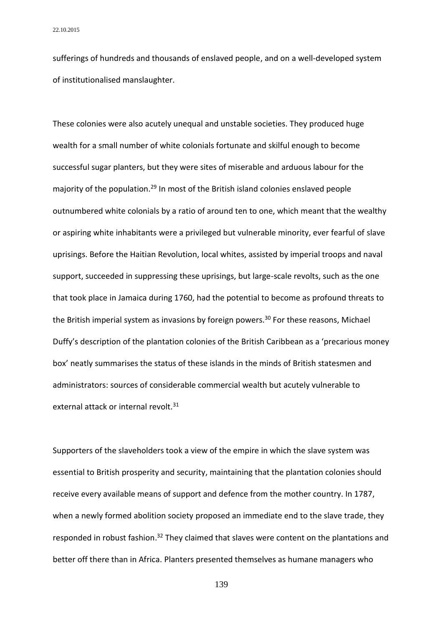sufferings of hundreds and thousands of enslaved people, and on a well-developed system of institutionalised manslaughter.

These colonies were also acutely unequal and unstable societies. They produced huge wealth for a small number of white colonials fortunate and skilful enough to become successful sugar planters, but they were sites of miserable and arduous labour for the majority of the population.<sup>29</sup> In most of the British island colonies enslaved people outnumbered white colonials by a ratio of around ten to one, which meant that the wealthy or aspiring white inhabitants were a privileged but vulnerable minority, ever fearful of slave uprisings. Before the Haitian Revolution, local whites, assisted by imperial troops and naval support, succeeded in suppressing these uprisings, but large-scale revolts, such as the one that took place in Jamaica during 1760, had the potential to become as profound threats to the British imperial system as invasions by foreign powers.<sup>30</sup> For these reasons, Michael Duffy's description of the plantation colonies of the British Caribbean as a 'precarious money box' neatly summarises the status of these islands in the minds of British statesmen and administrators: sources of considerable commercial wealth but acutely vulnerable to external attack or internal revolt.<sup>31</sup>

Supporters of the slaveholders took a view of the empire in which the slave system was essential to British prosperity and security, maintaining that the plantation colonies should receive every available means of support and defence from the mother country. In 1787, when a newly formed abolition society proposed an immediate end to the slave trade, they responded in robust fashion.<sup>32</sup> They claimed that slaves were content on the plantations and better off there than in Africa. Planters presented themselves as humane managers who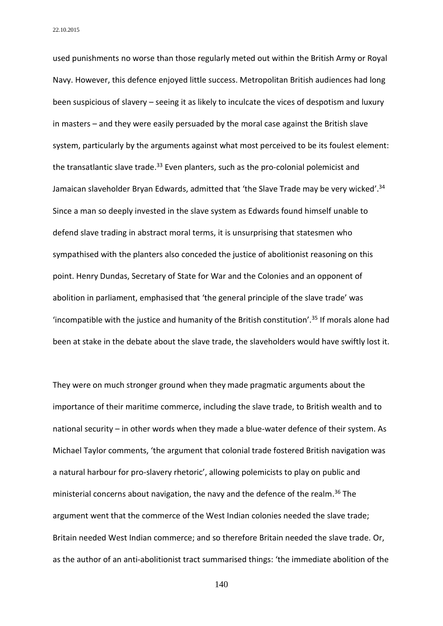used punishments no worse than those regularly meted out within the British Army or Royal Navy. However, this defence enjoyed little success. Metropolitan British audiences had long been suspicious of slavery – seeing it as likely to inculcate the vices of despotism and luxury in masters – and they were easily persuaded by the moral case against the British slave system, particularly by the arguments against what most perceived to be its foulest element: the transatlantic slave trade.<sup>33</sup> Even planters, such as the pro-colonial polemicist and Jamaican slaveholder Bryan Edwards, admitted that 'the Slave Trade may be very wicked'.<sup>34</sup> Since a man so deeply invested in the slave system as Edwards found himself unable to defend slave trading in abstract moral terms, it is unsurprising that statesmen who sympathised with the planters also conceded the justice of abolitionist reasoning on this point. Henry Dundas, Secretary of State for War and the Colonies and an opponent of abolition in parliament, emphasised that 'the general principle of the slave trade' was 'incompatible with the justice and humanity of the British constitution'.<sup>35</sup> If morals alone had been at stake in the debate about the slave trade, the slaveholders would have swiftly lost it.

They were on much stronger ground when they made pragmatic arguments about the importance of their maritime commerce, including the slave trade, to British wealth and to national security – in other words when they made a blue-water defence of their system. As Michael Taylor comments, 'the argument that colonial trade fostered British navigation was a natural harbour for pro-slavery rhetoric', allowing polemicists to play on public and ministerial concerns about navigation, the navy and the defence of the realm. <sup>36</sup> The argument went that the commerce of the West Indian colonies needed the slave trade; Britain needed West Indian commerce; and so therefore Britain needed the slave trade. Or, as the author of an anti-abolitionist tract summarised things: 'the immediate abolition of the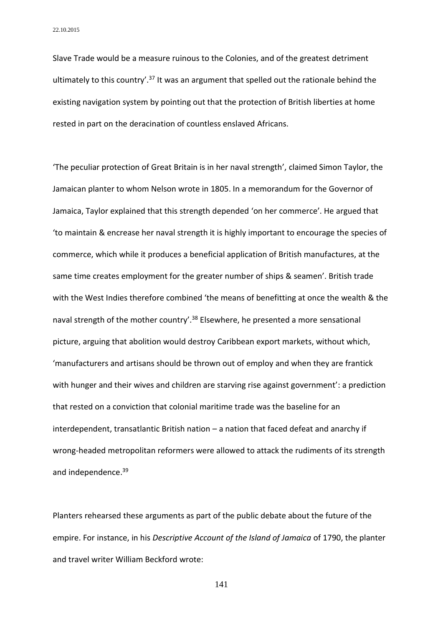Slave Trade would be a measure ruinous to the Colonies, and of the greatest detriment ultimately to this country'.<sup>37</sup> It was an argument that spelled out the rationale behind the existing navigation system by pointing out that the protection of British liberties at home rested in part on the deracination of countless enslaved Africans.

'The peculiar protection of Great Britain is in her naval strength', claimed Simon Taylor, the Jamaican planter to whom Nelson wrote in 1805. In a memorandum for the Governor of Jamaica, Taylor explained that this strength depended 'on her commerce'. He argued that 'to maintain & encrease her naval strength it is highly important to encourage the species of commerce, which while it produces a beneficial application of British manufactures, at the same time creates employment for the greater number of ships & seamen'. British trade with the West Indies therefore combined 'the means of benefitting at once the wealth & the naval strength of the mother country'.<sup>38</sup> Elsewhere, he presented a more sensational picture, arguing that abolition would destroy Caribbean export markets, without which, 'manufacturers and artisans should be thrown out of employ and when they are frantick with hunger and their wives and children are starving rise against government': a prediction that rested on a conviction that colonial maritime trade was the baseline for an interdependent, transatlantic British nation – a nation that faced defeat and anarchy if wrong-headed metropolitan reformers were allowed to attack the rudiments of its strength and independence. 39

Planters rehearsed these arguments as part of the public debate about the future of the empire. For instance, in his *Descriptive Account of the Island of Jamaica* of 1790, the planter and travel writer William Beckford wrote: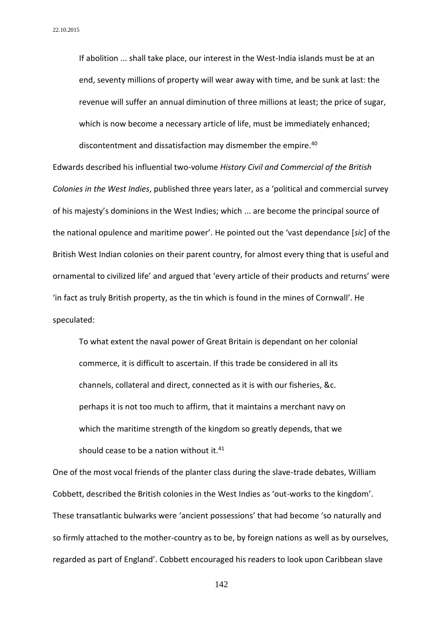If abolition ... shall take place, our interest in the West-India islands must be at an end, seventy millions of property will wear away with time, and be sunk at last: the revenue will suffer an annual diminution of three millions at least; the price of sugar, which is now become a necessary article of life, must be immediately enhanced; discontentment and dissatisfaction may dismember the empire.<sup>40</sup>

Edwards described his influential two-volume *History Civil and Commercial of the British Colonies in the West Indies*, published three years later, as a 'political and commercial survey of his majesty's dominions in the West Indies; which ... are become the principal source of the national opulence and maritime power'. He pointed out the 'vast dependance [*sic*] of the British West Indian colonies on their parent country, for almost every thing that is useful and ornamental to civilized life' and argued that 'every article of their products and returns' were 'in fact as truly British property, as the tin which is found in the mines of Cornwall'. He speculated:

To what extent the naval power of Great Britain is dependant on her colonial commerce, it is difficult to ascertain. If this trade be considered in all its channels, collateral and direct, connected as it is with our fisheries, &c. perhaps it is not too much to affirm, that it maintains a merchant navy on which the maritime strength of the kingdom so greatly depends, that we should cease to be a nation without it. $41$ 

One of the most vocal friends of the planter class during the slave-trade debates, William Cobbett, described the British colonies in the West Indies as 'out-works to the kingdom'. These transatlantic bulwarks were 'ancient possessions' that had become 'so naturally and so firmly attached to the mother-country as to be, by foreign nations as well as by ourselves, regarded as part of England'. Cobbett encouraged his readers to look upon Caribbean slave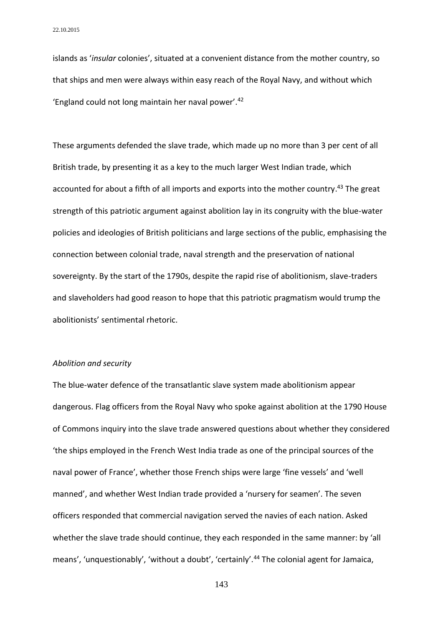islands as '*insular* colonies', situated at a convenient distance from the mother country, so that ships and men were always within easy reach of the Royal Navy, and without which 'England could not long maintain her naval power'.<sup>42</sup>

These arguments defended the slave trade, which made up no more than 3 per cent of all British trade, by presenting it as a key to the much larger West Indian trade, which accounted for about a fifth of all imports and exports into the mother country.<sup>43</sup> The great strength of this patriotic argument against abolition lay in its congruity with the blue-water policies and ideologies of British politicians and large sections of the public, emphasising the connection between colonial trade, naval strength and the preservation of national sovereignty. By the start of the 1790s, despite the rapid rise of abolitionism, slave-traders and slaveholders had good reason to hope that this patriotic pragmatism would trump the abolitionists' sentimental rhetoric.

# *Abolition and security*

The blue-water defence of the transatlantic slave system made abolitionism appear dangerous. Flag officers from the Royal Navy who spoke against abolition at the 1790 House of Commons inquiry into the slave trade answered questions about whether they considered 'the ships employed in the French West India trade as one of the principal sources of the naval power of France', whether those French ships were large 'fine vessels' and 'well manned', and whether West Indian trade provided a 'nursery for seamen'. The seven officers responded that commercial navigation served the navies of each nation. Asked whether the slave trade should continue, they each responded in the same manner: by 'all means', 'unquestionably', 'without a doubt', 'certainly'.<sup>44</sup> The colonial agent for Jamaica,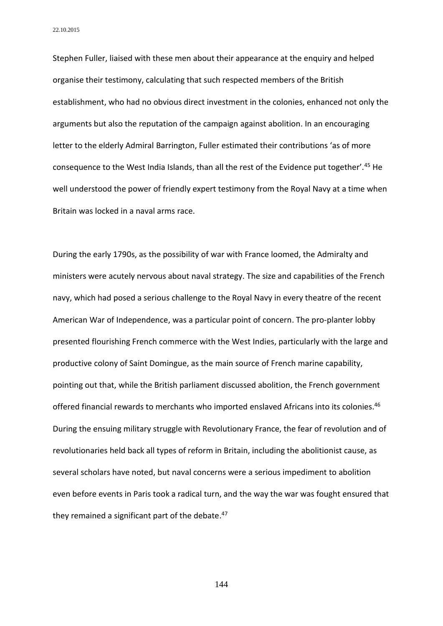Stephen Fuller, liaised with these men about their appearance at the enquiry and helped organise their testimony, calculating that such respected members of the British establishment, who had no obvious direct investment in the colonies, enhanced not only the arguments but also the reputation of the campaign against abolition. In an encouraging letter to the elderly Admiral Barrington, Fuller estimated their contributions 'as of more consequence to the West India Islands, than all the rest of the Evidence put together'.<sup>45</sup> He well understood the power of friendly expert testimony from the Royal Navy at a time when Britain was locked in a naval arms race.

During the early 1790s, as the possibility of war with France loomed, the Admiralty and ministers were acutely nervous about naval strategy. The size and capabilities of the French navy, which had posed a serious challenge to the Royal Navy in every theatre of the recent American War of Independence, was a particular point of concern. The pro-planter lobby presented flourishing French commerce with the West Indies, particularly with the large and productive colony of Saint Domingue, as the main source of French marine capability, pointing out that, while the British parliament discussed abolition, the French government offered financial rewards to merchants who imported enslaved Africans into its colonies.<sup>46</sup> During the ensuing military struggle with Revolutionary France, the fear of revolution and of revolutionaries held back all types of reform in Britain, including the abolitionist cause, as several scholars have noted, but naval concerns were a serious impediment to abolition even before events in Paris took a radical turn, and the way the war was fought ensured that they remained a significant part of the debate.<sup>47</sup>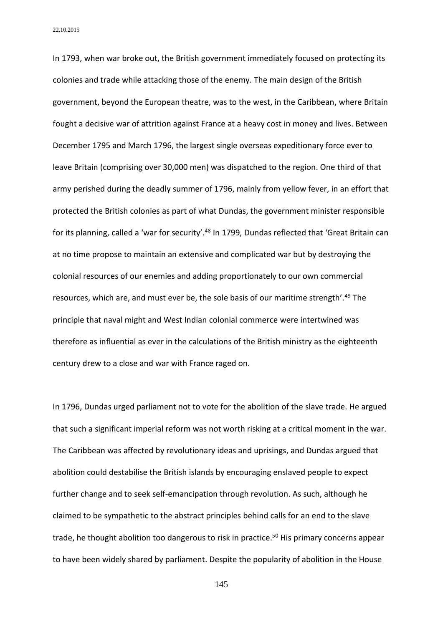In 1793, when war broke out, the British government immediately focused on protecting its colonies and trade while attacking those of the enemy. The main design of the British government, beyond the European theatre, was to the west, in the Caribbean, where Britain fought a decisive war of attrition against France at a heavy cost in money and lives. Between December 1795 and March 1796, the largest single overseas expeditionary force ever to leave Britain (comprising over 30,000 men) was dispatched to the region. One third of that army perished during the deadly summer of 1796, mainly from yellow fever, in an effort that protected the British colonies as part of what Dundas, the government minister responsible for its planning, called a 'war for security'.<sup>48</sup> In 1799, Dundas reflected that 'Great Britain can at no time propose to maintain an extensive and complicated war but by destroying the colonial resources of our enemies and adding proportionately to our own commercial resources, which are, and must ever be, the sole basis of our maritime strength'.<sup>49</sup> The principle that naval might and West Indian colonial commerce were intertwined was therefore as influential as ever in the calculations of the British ministry as the eighteenth century drew to a close and war with France raged on.

In 1796, Dundas urged parliament not to vote for the abolition of the slave trade. He argued that such a significant imperial reform was not worth risking at a critical moment in the war. The Caribbean was affected by revolutionary ideas and uprisings, and Dundas argued that abolition could destabilise the British islands by encouraging enslaved people to expect further change and to seek self-emancipation through revolution. As such, although he claimed to be sympathetic to the abstract principles behind calls for an end to the slave trade, he thought abolition too dangerous to risk in practice. <sup>50</sup> His primary concerns appear to have been widely shared by parliament. Despite the popularity of abolition in the House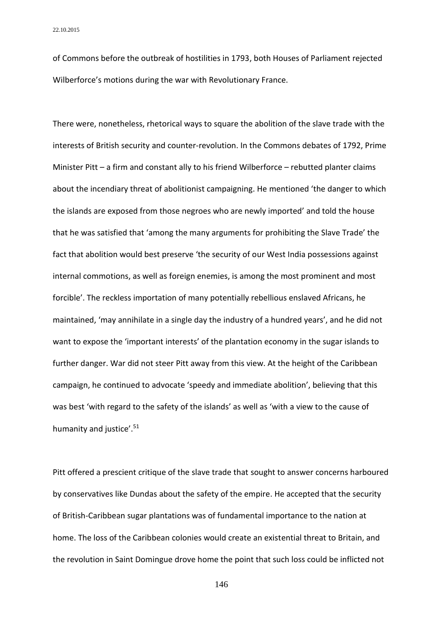of Commons before the outbreak of hostilities in 1793, both Houses of Parliament rejected Wilberforce's motions during the war with Revolutionary France.

There were, nonetheless, rhetorical ways to square the abolition of the slave trade with the interests of British security and counter-revolution. In the Commons debates of 1792, Prime Minister Pitt – a firm and constant ally to his friend Wilberforce – rebutted planter claims about the incendiary threat of abolitionist campaigning. He mentioned 'the danger to which the islands are exposed from those negroes who are newly imported' and told the house that he was satisfied that 'among the many arguments for prohibiting the Slave Trade' the fact that abolition would best preserve 'the security of our West India possessions against internal commotions, as well as foreign enemies, is among the most prominent and most forcible'. The reckless importation of many potentially rebellious enslaved Africans, he maintained, 'may annihilate in a single day the industry of a hundred years', and he did not want to expose the 'important interests' of the plantation economy in the sugar islands to further danger. War did not steer Pitt away from this view. At the height of the Caribbean campaign, he continued to advocate 'speedy and immediate abolition', believing that this was best 'with regard to the safety of the islands' as well as 'with a view to the cause of humanity and justice'.<sup>51</sup>

Pitt offered a prescient critique of the slave trade that sought to answer concerns harboured by conservatives like Dundas about the safety of the empire. He accepted that the security of British-Caribbean sugar plantations was of fundamental importance to the nation at home. The loss of the Caribbean colonies would create an existential threat to Britain, and the revolution in Saint Domingue drove home the point that such loss could be inflicted not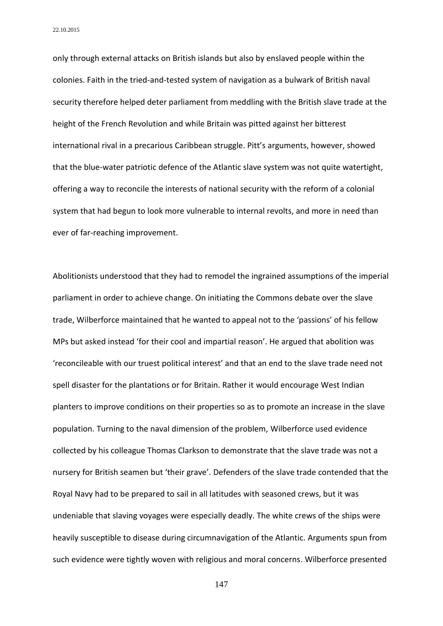only through external attacks on British islands but also by enslaved people within the colonies. Faith in the tried-and-tested system of navigation as a bulwark of British naval security therefore helped deter parliament from meddling with the British slave trade at the height of the French Revolution and while Britain was pitted against her bitterest international rival in a precarious Caribbean struggle. Pitt's arguments, however, showed that the blue-water patriotic defence of the Atlantic slave system was not quite watertight, offering a way to reconcile the interests of national security with the reform of a colonial system that had begun to look more vulnerable to internal revolts, and more in need than ever of far-reaching improvement.

Abolitionists understood that they had to remodel the ingrained assumptions of the imperial parliament in order to achieve change. On initiating the Commons debate over the slave trade, Wilberforce maintained that he wanted to appeal not to the 'passions' of his fellow MPs but asked instead 'for their cool and impartial reason'. He argued that abolition was 'reconcileable with our truest political interest' and that an end to the slave trade need not spell disaster for the plantations or for Britain. Rather it would encourage West Indian planters to improve conditions on their properties so as to promote an increase in the slave population. Turning to the naval dimension of the problem, Wilberforce used evidence collected by his colleague Thomas Clarkson to demonstrate that the slave trade was not a nursery for British seamen but 'their grave'. Defenders of the slave trade contended that the Royal Navy had to be prepared to sail in all latitudes with seasoned crews, but it was undeniable that slaving voyages were especially deadly. The white crews of the ships were heavily susceptible to disease during circumnavigation of the Atlantic. Arguments spun from such evidence were tightly woven with religious and moral concerns. Wilberforce presented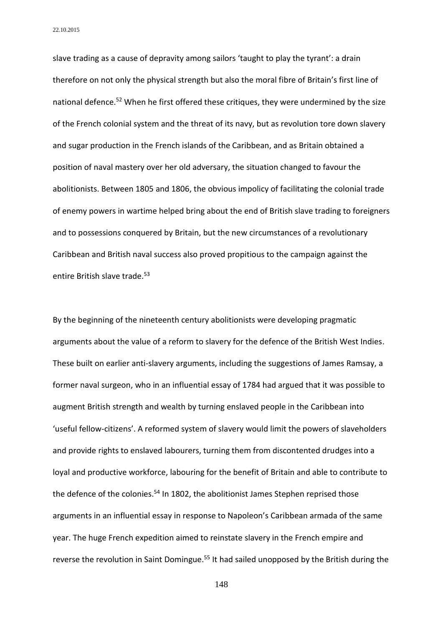slave trading as a cause of depravity among sailors 'taught to play the tyrant': a drain therefore on not only the physical strength but also the moral fibre of Britain's first line of national defence.<sup>52</sup> When he first offered these critiques, they were undermined by the size of the French colonial system and the threat of its navy, but as revolution tore down slavery and sugar production in the French islands of the Caribbean, and as Britain obtained a position of naval mastery over her old adversary, the situation changed to favour the abolitionists. Between 1805 and 1806, the obvious impolicy of facilitating the colonial trade of enemy powers in wartime helped bring about the end of British slave trading to foreigners and to possessions conquered by Britain, but the new circumstances of a revolutionary Caribbean and British naval success also proved propitious to the campaign against the entire British slave trade.<sup>53</sup>

By the beginning of the nineteenth century abolitionists were developing pragmatic arguments about the value of a reform to slavery for the defence of the British West Indies. These built on earlier anti-slavery arguments, including the suggestions of James Ramsay, a former naval surgeon, who in an influential essay of 1784 had argued that it was possible to augment British strength and wealth by turning enslaved people in the Caribbean into 'useful fellow-citizens'. A reformed system of slavery would limit the powers of slaveholders and provide rights to enslaved labourers, turning them from discontented drudges into a loyal and productive workforce, labouring for the benefit of Britain and able to contribute to the defence of the colonies.<sup>54</sup> In 1802, the abolitionist James Stephen reprised those arguments in an influential essay in response to Napoleon's Caribbean armada of the same year. The huge French expedition aimed to reinstate slavery in the French empire and reverse the revolution in Saint Domingue.<sup>55</sup> It had sailed unopposed by the British during the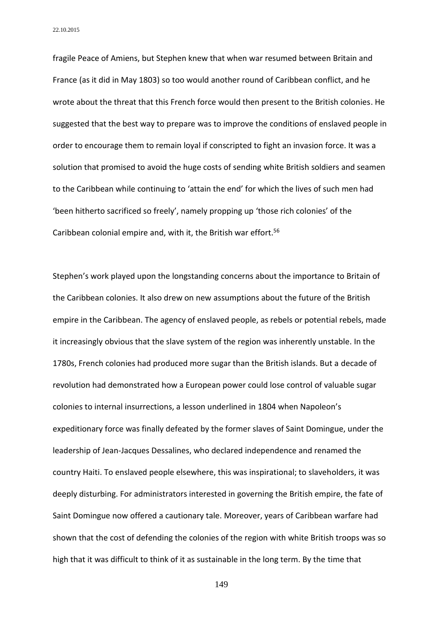fragile Peace of Amiens, but Stephen knew that when war resumed between Britain and France (as it did in May 1803) so too would another round of Caribbean conflict, and he wrote about the threat that this French force would then present to the British colonies. He suggested that the best way to prepare was to improve the conditions of enslaved people in order to encourage them to remain loyal if conscripted to fight an invasion force. It was a solution that promised to avoid the huge costs of sending white British soldiers and seamen to the Caribbean while continuing to 'attain the end' for which the lives of such men had 'been hitherto sacrificed so freely', namely propping up 'those rich colonies' of the Caribbean colonial empire and, with it, the British war effort.<sup>56</sup>

Stephen's work played upon the longstanding concerns about the importance to Britain of the Caribbean colonies. It also drew on new assumptions about the future of the British empire in the Caribbean. The agency of enslaved people, as rebels or potential rebels, made it increasingly obvious that the slave system of the region was inherently unstable. In the 1780s, French colonies had produced more sugar than the British islands. But a decade of revolution had demonstrated how a European power could lose control of valuable sugar colonies to internal insurrections, a lesson underlined in 1804 when Napoleon's expeditionary force was finally defeated by the former slaves of Saint Domingue, under the leadership of Jean-Jacques Dessalines, who declared independence and renamed the country Haiti. To enslaved people elsewhere, this was inspirational; to slaveholders, it was deeply disturbing. For administrators interested in governing the British empire, the fate of Saint Domingue now offered a cautionary tale. Moreover, years of Caribbean warfare had shown that the cost of defending the colonies of the region with white British troops was so high that it was difficult to think of it as sustainable in the long term. By the time that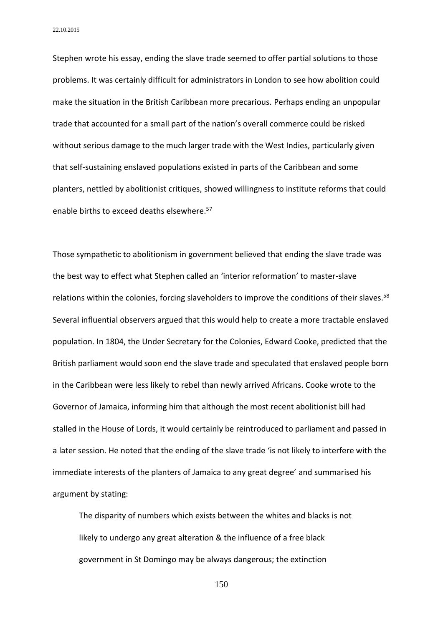Stephen wrote his essay, ending the slave trade seemed to offer partial solutions to those problems. It was certainly difficult for administrators in London to see how abolition could make the situation in the British Caribbean more precarious. Perhaps ending an unpopular trade that accounted for a small part of the nation's overall commerce could be risked without serious damage to the much larger trade with the West Indies, particularly given that self-sustaining enslaved populations existed in parts of the Caribbean and some planters, nettled by abolitionist critiques, showed willingness to institute reforms that could enable births to exceed deaths elsewhere.<sup>57</sup>

Those sympathetic to abolitionism in government believed that ending the slave trade was the best way to effect what Stephen called an 'interior reformation' to master-slave relations within the colonies, forcing slaveholders to improve the conditions of their slaves.<sup>58</sup> Several influential observers argued that this would help to create a more tractable enslaved population. In 1804, the Under Secretary for the Colonies, Edward Cooke, predicted that the British parliament would soon end the slave trade and speculated that enslaved people born in the Caribbean were less likely to rebel than newly arrived Africans. Cooke wrote to the Governor of Jamaica, informing him that although the most recent abolitionist bill had stalled in the House of Lords, it would certainly be reintroduced to parliament and passed in a later session. He noted that the ending of the slave trade 'is not likely to interfere with the immediate interests of the planters of Jamaica to any great degree' and summarised his argument by stating:

The disparity of numbers which exists between the whites and blacks is not likely to undergo any great alteration & the influence of a free black government in St Domingo may be always dangerous; the extinction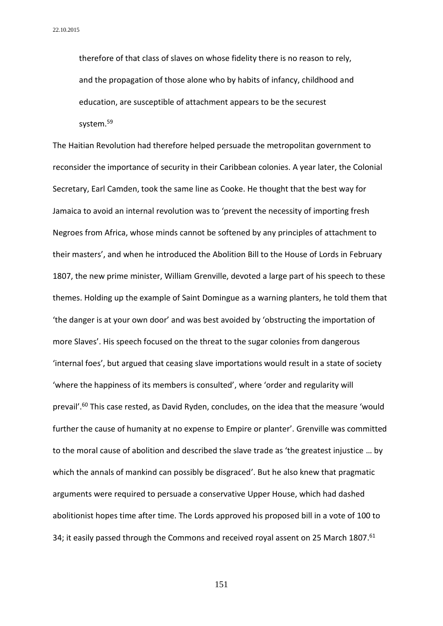therefore of that class of slaves on whose fidelity there is no reason to rely, and the propagation of those alone who by habits of infancy, childhood and education, are susceptible of attachment appears to be the securest system.<sup>59</sup>

The Haitian Revolution had therefore helped persuade the metropolitan government to reconsider the importance of security in their Caribbean colonies. A year later, the Colonial Secretary, Earl Camden, took the same line as Cooke. He thought that the best way for Jamaica to avoid an internal revolution was to 'prevent the necessity of importing fresh Negroes from Africa, whose minds cannot be softened by any principles of attachment to their masters', and when he introduced the Abolition Bill to the House of Lords in February 1807, the new prime minister, William Grenville, devoted a large part of his speech to these themes. Holding up the example of Saint Domingue as a warning planters, he told them that 'the danger is at your own door' and was best avoided by 'obstructing the importation of more Slaves'. His speech focused on the threat to the sugar colonies from dangerous 'internal foes', but argued that ceasing slave importations would result in a state of society 'where the happiness of its members is consulted', where 'order and regularity will prevail'.<sup>60</sup> This case rested, as David Ryden, concludes, on the idea that the measure 'would further the cause of humanity at no expense to Empire or planter'. Grenville was committed to the moral cause of abolition and described the slave trade as 'the greatest injustice … by which the annals of mankind can possibly be disgraced'. But he also knew that pragmatic arguments were required to persuade a conservative Upper House, which had dashed abolitionist hopes time after time. The Lords approved his proposed bill in a vote of 100 to 34; it easily passed through the Commons and received royal assent on 25 March 1807.<sup>61</sup>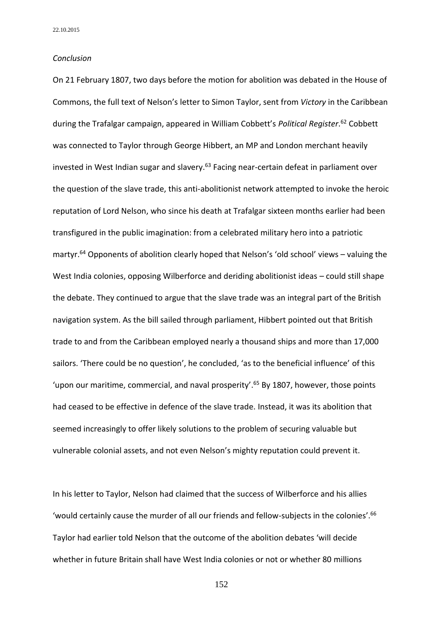#### *Conclusion*

On 21 February 1807, two days before the motion for abolition was debated in the House of Commons, the full text of Nelson's letter to Simon Taylor, sent from *Victory* in the Caribbean during the Trafalgar campaign, appeared in William Cobbett's *Political Register*. <sup>62</sup> Cobbett was connected to Taylor through George Hibbert, an MP and London merchant heavily invested in West Indian sugar and slavery. $63$  Facing near-certain defeat in parliament over the question of the slave trade, this anti-abolitionist network attempted to invoke the heroic reputation of Lord Nelson, who since his death at Trafalgar sixteen months earlier had been transfigured in the public imagination: from a celebrated military hero into a patriotic martyr. <sup>64</sup> Opponents of abolition clearly hoped that Nelson's 'old school' views – valuing the West India colonies, opposing Wilberforce and deriding abolitionist ideas – could still shape the debate. They continued to argue that the slave trade was an integral part of the British navigation system. As the bill sailed through parliament, Hibbert pointed out that British trade to and from the Caribbean employed nearly a thousand ships and more than 17,000 sailors. 'There could be no question', he concluded, 'as to the beneficial influence' of this 'upon our maritime, commercial, and naval prosperity'.<sup>65</sup> By 1807, however, those points had ceased to be effective in defence of the slave trade. Instead, it was its abolition that seemed increasingly to offer likely solutions to the problem of securing valuable but vulnerable colonial assets, and not even Nelson's mighty reputation could prevent it.

In his letter to Taylor, Nelson had claimed that the success of Wilberforce and his allies 'would certainly cause the murder of all our friends and fellow-subjects in the colonies'.<sup>66</sup> Taylor had earlier told Nelson that the outcome of the abolition debates 'will decide whether in future Britain shall have West India colonies or not or whether 80 millions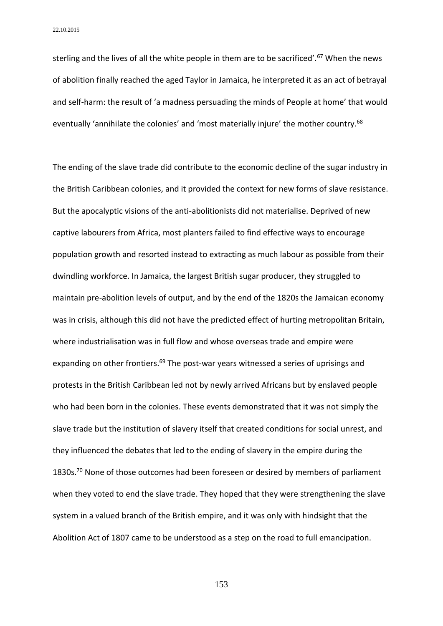sterling and the lives of all the white people in them are to be sacrificed'.<sup>67</sup> When the news of abolition finally reached the aged Taylor in Jamaica, he interpreted it as an act of betrayal and self-harm: the result of 'a madness persuading the minds of People at home' that would eventually 'annihilate the colonies' and 'most materially injure' the mother country.<sup>68</sup>

The ending of the slave trade did contribute to the economic decline of the sugar industry in the British Caribbean colonies, and it provided the context for new forms of slave resistance. But the apocalyptic visions of the anti-abolitionists did not materialise. Deprived of new captive labourers from Africa, most planters failed to find effective ways to encourage population growth and resorted instead to extracting as much labour as possible from their dwindling workforce. In Jamaica, the largest British sugar producer, they struggled to maintain pre-abolition levels of output, and by the end of the 1820s the Jamaican economy was in crisis, although this did not have the predicted effect of hurting metropolitan Britain, where industrialisation was in full flow and whose overseas trade and empire were expanding on other frontiers.<sup>69</sup> The post-war years witnessed a series of uprisings and protests in the British Caribbean led not by newly arrived Africans but by enslaved people who had been born in the colonies. These events demonstrated that it was not simply the slave trade but the institution of slavery itself that created conditions for social unrest, and they influenced the debates that led to the ending of slavery in the empire during the 1830s.<sup>70</sup> None of those outcomes had been foreseen or desired by members of parliament when they voted to end the slave trade. They hoped that they were strengthening the slave system in a valued branch of the British empire, and it was only with hindsight that the Abolition Act of 1807 came to be understood as a step on the road to full emancipation.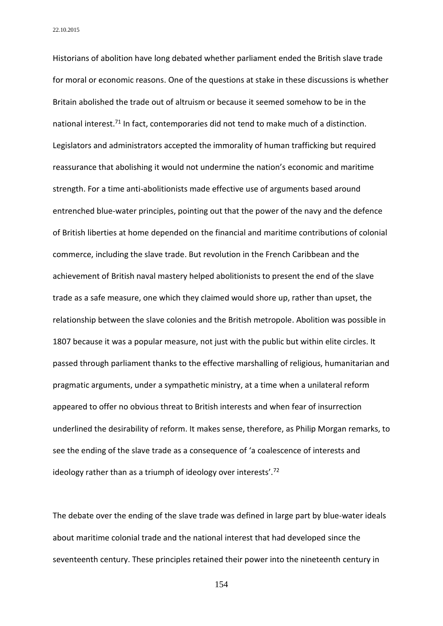Historians of abolition have long debated whether parliament ended the British slave trade for moral or economic reasons. One of the questions at stake in these discussions is whether Britain abolished the trade out of altruism or because it seemed somehow to be in the national interest.<sup>71</sup> In fact, contemporaries did not tend to make much of a distinction. Legislators and administrators accepted the immorality of human trafficking but required reassurance that abolishing it would not undermine the nation's economic and maritime strength. For a time anti-abolitionists made effective use of arguments based around entrenched blue-water principles, pointing out that the power of the navy and the defence of British liberties at home depended on the financial and maritime contributions of colonial commerce, including the slave trade. But revolution in the French Caribbean and the achievement of British naval mastery helped abolitionists to present the end of the slave trade as a safe measure, one which they claimed would shore up, rather than upset, the relationship between the slave colonies and the British metropole. Abolition was possible in 1807 because it was a popular measure, not just with the public but within elite circles. It passed through parliament thanks to the effective marshalling of religious, humanitarian and pragmatic arguments, under a sympathetic ministry, at a time when a unilateral reform appeared to offer no obvious threat to British interests and when fear of insurrection underlined the desirability of reform. It makes sense, therefore, as Philip Morgan remarks, to see the ending of the slave trade as a consequence of 'a coalescence of interests and ideology rather than as a triumph of ideology over interests'. $72$ 

The debate over the ending of the slave trade was defined in large part by blue-water ideals about maritime colonial trade and the national interest that had developed since the seventeenth century. These principles retained their power into the nineteenth century in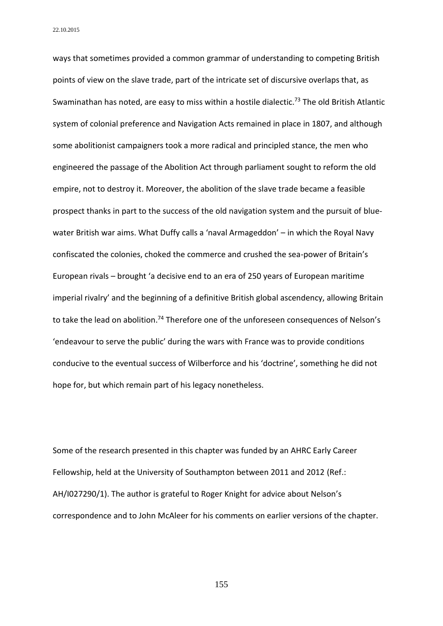ways that sometimes provided a common grammar of understanding to competing British points of view on the slave trade, part of the intricate set of discursive overlaps that, as Swaminathan has noted, are easy to miss within a hostile dialectic.<sup>73</sup> The old British Atlantic system of colonial preference and Navigation Acts remained in place in 1807, and although some abolitionist campaigners took a more radical and principled stance, the men who engineered the passage of the Abolition Act through parliament sought to reform the old empire, not to destroy it. Moreover, the abolition of the slave trade became a feasible prospect thanks in part to the success of the old navigation system and the pursuit of bluewater British war aims. What Duffy calls a 'naval Armageddon' – in which the Royal Navy confiscated the colonies, choked the commerce and crushed the sea-power of Britain's European rivals – brought 'a decisive end to an era of 250 years of European maritime imperial rivalry' and the beginning of a definitive British global ascendency, allowing Britain to take the lead on abolition.<sup>74</sup> Therefore one of the unforeseen consequences of Nelson's 'endeavour to serve the public' during the wars with France was to provide conditions conducive to the eventual success of Wilberforce and his 'doctrine', something he did not hope for, but which remain part of his legacy nonetheless.

Some of the research presented in this chapter was funded by an AHRC Early Career Fellowship, held at the University of Southampton between 2011 and 2012 (Ref.: AH/I027290/1). The author is grateful to Roger Knight for advice about Nelson's correspondence and to John McAleer for his comments on earlier versions of the chapter.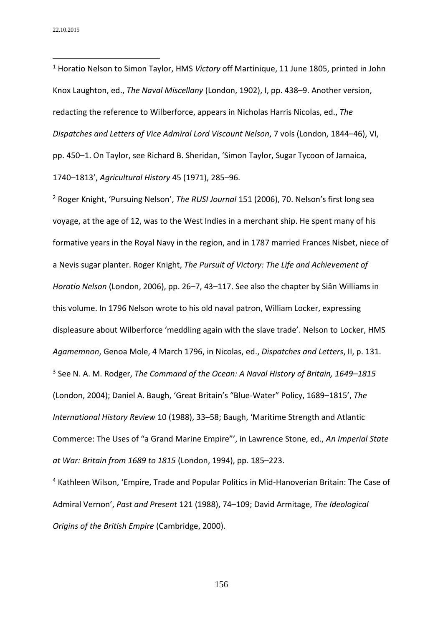$\overline{a}$ 

<sup>1</sup> Horatio Nelson to Simon Taylor, HMS *Victory* off Martinique, 11 June 1805, printed in John Knox Laughton, ed., *The Naval Miscellany* (London, 1902), I, pp. 438–9. Another version, redacting the reference to Wilberforce, appears in Nicholas Harris Nicolas, ed., *The Dispatches and Letters of Vice Admiral Lord Viscount Nelson*, 7 vols (London, 1844–46), VI, pp. 450–1. On Taylor, see Richard B. Sheridan, 'Simon Taylor, Sugar Tycoon of Jamaica, 1740–1813', *Agricultural History* 45 (1971), 285–96.

<sup>2</sup> Roger Knight, 'Pursuing Nelson', *The RUSI Journal* 151 (2006), 70. Nelson's first long sea voyage, at the age of 12, was to the West Indies in a merchant ship. He spent many of his formative years in the Royal Navy in the region, and in 1787 married Frances Nisbet, niece of a Nevis sugar planter. Roger Knight, *The Pursuit of Victory: The Life and Achievement of Horatio Nelson* (London, 2006), pp. 26–7, 43–117. See also the chapter by Siân Williams in this volume. In 1796 Nelson wrote to his old naval patron, William Locker, expressing displeasure about Wilberforce 'meddling again with the slave trade'. Nelson to Locker, HMS *Agamemnon*, Genoa Mole, 4 March 1796, in Nicolas, ed., *Dispatches and Letters*, II, p. 131. <sup>3</sup> See N. A. M. Rodger, *The Command of the Ocean: A Naval History of Britain, 1649–1815* (London, 2004); Daniel A. Baugh, 'Great Britain's "Blue-Water" Policy, 1689–1815', *The International History Review* 10 (1988), 33–58; Baugh, 'Maritime Strength and Atlantic Commerce: The Uses of "a Grand Marine Empire"', in Lawrence Stone, ed., *An Imperial State at War: Britain from 1689 to 1815* (London, 1994), pp. 185–223.

<sup>4</sup> Kathleen Wilson, 'Empire, Trade and Popular Politics in Mid-Hanoverian Britain: The Case of Admiral Vernon', *Past and Present* 121 (1988), 74–109; David Armitage, *The Ideological Origins of the British Empire* (Cambridge, 2000).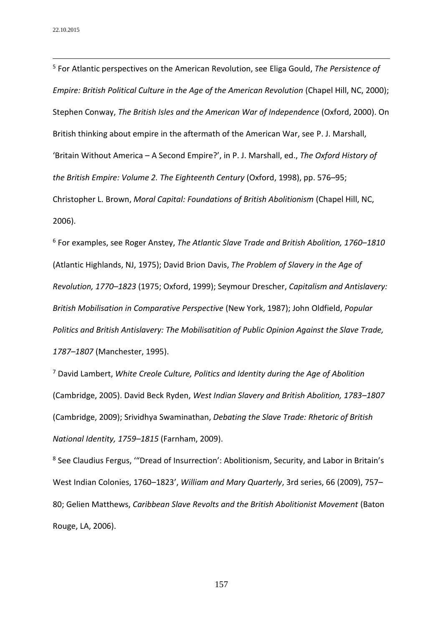<sup>5</sup> For Atlantic perspectives on the American Revolution, see Eliga Gould, *The Persistence of Empire: British Political Culture in the Age of the American Revolution* (Chapel Hill, NC, 2000); Stephen Conway, *The British Isles and the American War of Independence* (Oxford, 2000). On British thinking about empire in the aftermath of the American War, see P. J. Marshall, 'Britain Without America – A Second Empire?', in P. J. Marshall, ed., *The Oxford History of the British Empire: Volume 2. The Eighteenth Century* (Oxford, 1998), pp. 576–95; Christopher L. Brown, *Moral Capital: Foundations of British Abolitionism* (Chapel Hill, NC, 2006).

<sup>6</sup> For examples, see Roger Anstey, *The Atlantic Slave Trade and British Abolition, 1760–1810*  (Atlantic Highlands, NJ, 1975); David Brion Davis, *The Problem of Slavery in the Age of Revolution, 1770–1823* (1975; Oxford, 1999); Seymour Drescher, *Capitalism and Antislavery: British Mobilisation in Comparative Perspective* (New York, 1987); John Oldfield, *Popular Politics and British Antislavery: The Mobilisatition of Public Opinion Against the Slave Trade, 1787–1807* (Manchester, 1995).

<sup>7</sup> David Lambert, *White Creole Culture, Politics and Identity during the Age of Abolition* (Cambridge, 2005). David Beck Ryden, *West Indian Slavery and British Abolition, 1783–1807*  (Cambridge, 2009); Srividhya Swaminathan, *Debating the Slave Trade: Rhetoric of British National Identity, 1759–1815* (Farnham, 2009).

<sup>8</sup> See Claudius Fergus, '"Dread of Insurrection': Abolitionism, Security, and Labor in Britain's West Indian Colonies, 1760–1823', *William and Mary Quarterly*, 3rd series, 66 (2009), 757– 80; Gelien Matthews, *Caribbean Slave Revolts and the British Abolitionist Movement* (Baton Rouge, LA, 2006).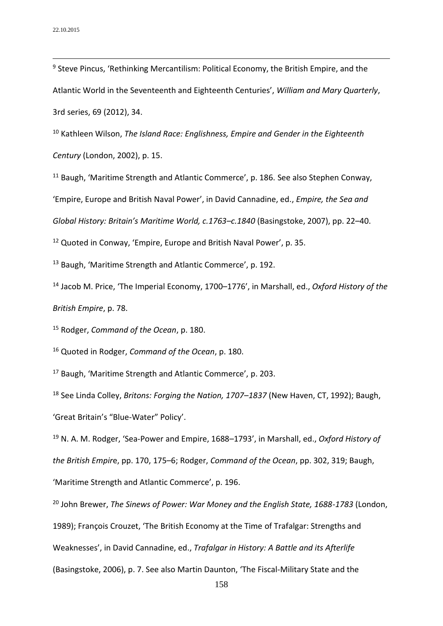<sup>9</sup> Steve Pincus, 'Rethinking Mercantilism: Political Economy, the British Empire, and the Atlantic World in the Seventeenth and Eighteenth Centuries', *William and Mary Quarterly*, 3rd series, 69 (2012), 34.

<sup>10</sup> Kathleen Wilson, *The Island Race: Englishness, Empire and Gender in the Eighteenth* 

*Century* (London, 2002), p. 15.

<sup>11</sup> Baugh, 'Maritime Strength and Atlantic Commerce', p. 186. See also Stephen Conway,

'Empire, Europe and British Naval Power', in David Cannadine, ed., *Empire, the Sea and* 

*Global History: Britain's Maritime World, c.1763–c.1840* (Basingstoke, 2007), pp. 22–40.

<sup>12</sup> Quoted in Conway, 'Empire, Europe and British Naval Power', p. 35.

<sup>13</sup> Baugh, 'Maritime Strength and Atlantic Commerce', p. 192.

<sup>14</sup> Jacob M. Price, 'The Imperial Economy, 1700–1776', in Marshall, ed., *Oxford History of the British Empire*, p. 78.

<sup>15</sup> Rodger, *Command of the Ocean*, p. 180.

<sup>16</sup> Quoted in Rodger, *Command of the Ocean*, p. 180.

<sup>17</sup> Baugh, 'Maritime Strength and Atlantic Commerce', p. 203.

<sup>18</sup> See Linda Colley, *Britons: Forging the Nation, 1707–1837* (New Haven, CT, 1992); Baugh, 'Great Britain's "Blue-Water" Policy'.

<sup>19</sup> N. A. M. Rodger, 'Sea-Power and Empire, 1688–1793', in Marshall, ed., *Oxford History of the British Empir*e, pp. 170, 175–6; Rodger, *Command of the Ocean*, pp. 302, 319; Baugh, 'Maritime Strength and Atlantic Commerce', p. 196.

<sup>20</sup> John Brewer, *The Sinews of Power: War Money and the English State, 1688-1783* (London, 1989); François Crouzet, 'The British Economy at the Time of Trafalgar: Strengths and Weaknesses', in David Cannadine, ed., *Trafalgar in History: A Battle and its Afterlife* (Basingstoke, 2006), p. 7. See also Martin Daunton, 'The Fiscal-Military State and the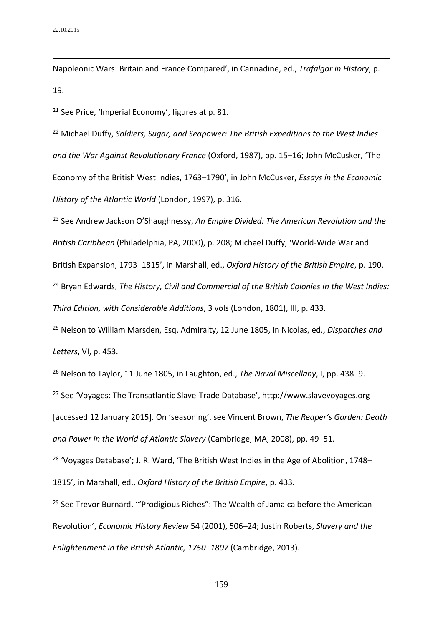Napoleonic Wars: Britain and France Compared', in Cannadine, ed., *Trafalgar in History*, p. 19.

<sup>21</sup> See Price, 'Imperial Economy', figures at p. 81.

<sup>22</sup> Michael Duffy, *Soldiers, Sugar, and Seapower: The British Expeditions to the West Indies and the War Against Revolutionary France* (Oxford, 1987), pp. 15–16; John McCusker, 'The Economy of the British West Indies, 1763–1790', in John McCusker, *Essays in the Economic History of the Atlantic World* (London, 1997), p. 316.

<sup>23</sup> See Andrew Jackson O'Shaughnessy, *An Empire Divided: The American Revolution and the British Caribbean* (Philadelphia, PA, 2000), p. 208; Michael Duffy, 'World-Wide War and British Expansion, 1793–1815', in Marshall, ed., *Oxford History of the British Empire*, p. 190. <sup>24</sup> Bryan Edwards, *The History, Civil and Commercial of the British Colonies in the West Indies: Third Edition, with Considerable Additions*, 3 vols (London, 1801), III, p. 433.

<sup>25</sup> Nelson to William Marsden, Esq, Admiralty, 12 June 1805, in Nicolas, ed., *Dispatches and Letters*, VI, p. 453.

<sup>26</sup> Nelson to Taylor, 11 June 1805, in Laughton, ed., *The Naval Miscellany*, I, pp. 438–9. <sup>27</sup> See 'Voyages: The Transatlantic Slave-Trade Database', http://www.slavevoyages.org [accessed 12 January 2015]. On 'seasoning', see Vincent Brown, *The Reaper's Garden: Death and Power in the World of Atlantic Slavery* (Cambridge, MA, 2008), pp. 49–51.

<sup>28</sup> 'Voyages Database'; J. R. Ward, 'The British West Indies in the Age of Abolition, 1748-1815', in Marshall, ed., *Oxford History of the British Empire*, p. 433.

<sup>29</sup> See Trevor Burnard, "'Prodigious Riches": The Wealth of Jamaica before the American Revolution', *Economic History Review* 54 (2001), 506–24; Justin Roberts, *Slavery and the Enlightenment in the British Atlantic, 1750–1807* (Cambridge, 2013).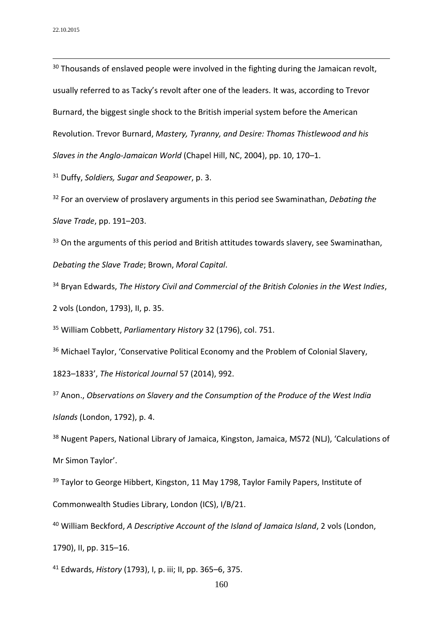<sup>30</sup> Thousands of enslaved people were involved in the fighting during the Jamaican revolt, usually referred to as Tacky's revolt after one of the leaders. It was, according to Trevor Burnard, the biggest single shock to the British imperial system before the American Revolution. Trevor Burnard, *Mastery, Tyranny, and Desire: Thomas Thistlewood and his Slaves in the Anglo-Jamaican World* (Chapel Hill, NC, 2004), pp. 10, 170–1.

<sup>31</sup> Duffy, *Soldiers, Sugar and Seapower*, p. 3.

<sup>32</sup> For an overview of proslavery arguments in this period see Swaminathan, *Debating the Slave Trade*, pp. 191–203.

<sup>33</sup> On the arguments of this period and British attitudes towards slavery, see Swaminathan, *Debating the Slave Trade*; Brown, *Moral Capital*.

<sup>34</sup> Bryan Edwards, *The History Civil and Commercial of the British Colonies in the West Indies*, 2 vols (London, 1793), II, p. 35.

<sup>35</sup> William Cobbett, *Parliamentary History* 32 (1796), col. 751.

<sup>36</sup> Michael Taylor, 'Conservative Political Economy and the Problem of Colonial Slavery,

1823–1833', *The Historical Journal* 57 (2014), 992.

<sup>37</sup> Anon., *Observations on Slavery and the Consumption of the Produce of the West India Islands* (London, 1792), p. 4.

<sup>38</sup> Nugent Papers, National Library of Jamaica, Kingston, Jamaica, MS72 (NLJ), 'Calculations of Mr Simon Taylor'.

<sup>39</sup> Taylor to George Hibbert, Kingston, 11 May 1798, Taylor Family Papers, Institute of Commonwealth Studies Library, London (ICS), I/B/21.

<sup>40</sup> William Beckford, *A Descriptive Account of the Island of Jamaica Island*, 2 vols (London,

1790), II, pp. 315–16.

<sup>41</sup> Edwards, *History* (1793), I, p. iii; II, pp. 365–6, 375.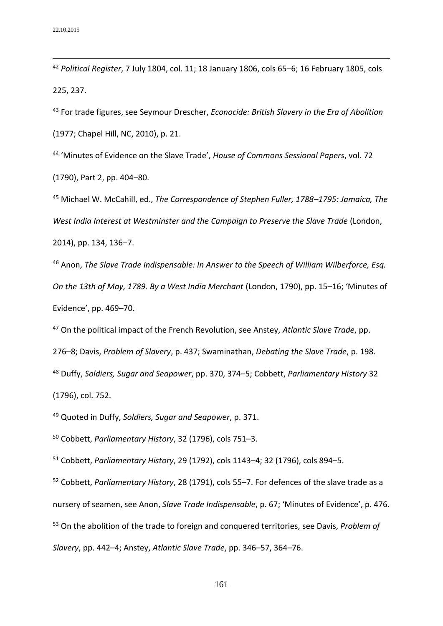<sup>42</sup> *Political Register*, 7 July 1804, col. 11; 18 January 1806, cols 65–6; 16 February 1805, cols 225, 237.

<sup>43</sup> For trade figures, see Seymour Drescher, *Econocide: British Slavery in the Era of Abolition* (1977; Chapel Hill, NC, 2010), p. 21.

<sup>44</sup> 'Minutes of Evidence on the Slave Trade', *House of Commons Sessional Papers*, vol. 72

(1790), Part 2, pp. 404–80.

<sup>45</sup> Michael W. McCahill, ed., *The Correspondence of Stephen Fuller, 1788–1795: Jamaica, The West India Interest at Westminster and the Campaign to Preserve the Slave Trade* (London, 2014), pp. 134, 136–7.

<sup>46</sup> Anon, *The Slave Trade Indispensable: In Answer to the Speech of William Wilberforce, Esq. On the 13th of May, 1789. By a West India Merchant* (London, 1790), pp. 15–16; 'Minutes of Evidence', pp. 469–70.

 On the political impact of the French Revolution, see Anstey, *Atlantic Slave Trade*, pp. –8; Davis, *Problem of Slavery*, p. 437; Swaminathan, *Debating the Slave Trade*, p. 198. Duffy, *Soldiers, Sugar and Seapower*, pp. 370, 374–5; Cobbett, *Parliamentary History* 32 (1796), col. 752.

<sup>49</sup> Quoted in Duffy, *Soldiers, Sugar and Seapower*, p. 371.

<sup>50</sup> Cobbett, *Parliamentary History*, 32 (1796), cols 751–3.

<sup>51</sup> Cobbett, *Parliamentary History*, 29 (1792), cols 1143–4; 32 (1796), cols 894–5.

<sup>52</sup> Cobbett, *Parliamentary History*, 28 (1791), cols 55–7. For defences of the slave trade as a nursery of seamen, see Anon, *Slave Trade Indispensable*, p. 67; 'Minutes of Evidence', p. 476. <sup>53</sup> On the abolition of the trade to foreign and conquered territories, see Davis, *Problem of Slavery*, pp. 442–4; Anstey, *Atlantic Slave Trade*, pp. 346–57, 364–76.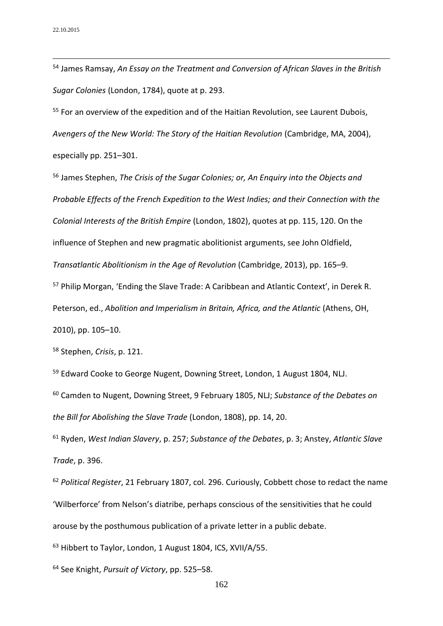<sup>54</sup> James Ramsay, *An Essay on the Treatment and Conversion of African Slaves in the British Sugar Colonies* (London, 1784), quote at p. 293.

<sup>55</sup> For an overview of the expedition and of the Haitian Revolution, see Laurent Dubois, *Avengers of the New World: The Story of the Haitian Revolution* (Cambridge, MA, 2004), especially pp. 251–301.

<sup>56</sup> James Stephen, *The Crisis of the Sugar Colonies; or, An Enquiry into the Objects and Probable Effects of the French Expedition to the West Indies; and their Connection with the Colonial Interests of the British Empire* (London, 1802), quotes at pp. 115, 120. On the influence of Stephen and new pragmatic abolitionist arguments, see John Oldfield, *Transatlantic Abolitionism in the Age of Revolution* (Cambridge, 2013), pp. 165–9.

<sup>57</sup> Philip Morgan, 'Ending the Slave Trade: A Caribbean and Atlantic Context', in Derek R. Peterson, ed., *Abolition and Imperialism in Britain, Africa, and the Atlantic (Athens, OH,* 2010), pp. 105–10.

<sup>58</sup> Stephen, *Crisis*, p. 121.

<sup>59</sup> Edward Cooke to George Nugent, Downing Street, London, 1 August 1804, NLJ. <sup>60</sup> Camden to Nugent, Downing Street, 9 February 1805, NLJ; *Substance of the Debates on the Bill for Abolishing the Slave Trade* (London, 1808), pp. 14, 20.

<sup>61</sup> Ryden, *West Indian Slavery*, p. 257; *Substance of the Debates*, p. 3; Anstey, *Atlantic Slave Trade*, p. 396.

<sup>62</sup> *Political Register*, 21 February 1807, col. 296. Curiously, Cobbett chose to redact the name 'Wilberforce' from Nelson's diatribe, perhaps conscious of the sensitivities that he could arouse by the posthumous publication of a private letter in a public debate.

<sup>63</sup> Hibbert to Taylor, London, 1 August 1804, ICS, XVII/A/55.

<sup>64</sup> See Knight, *Pursuit of Victory*, pp. 525–58.